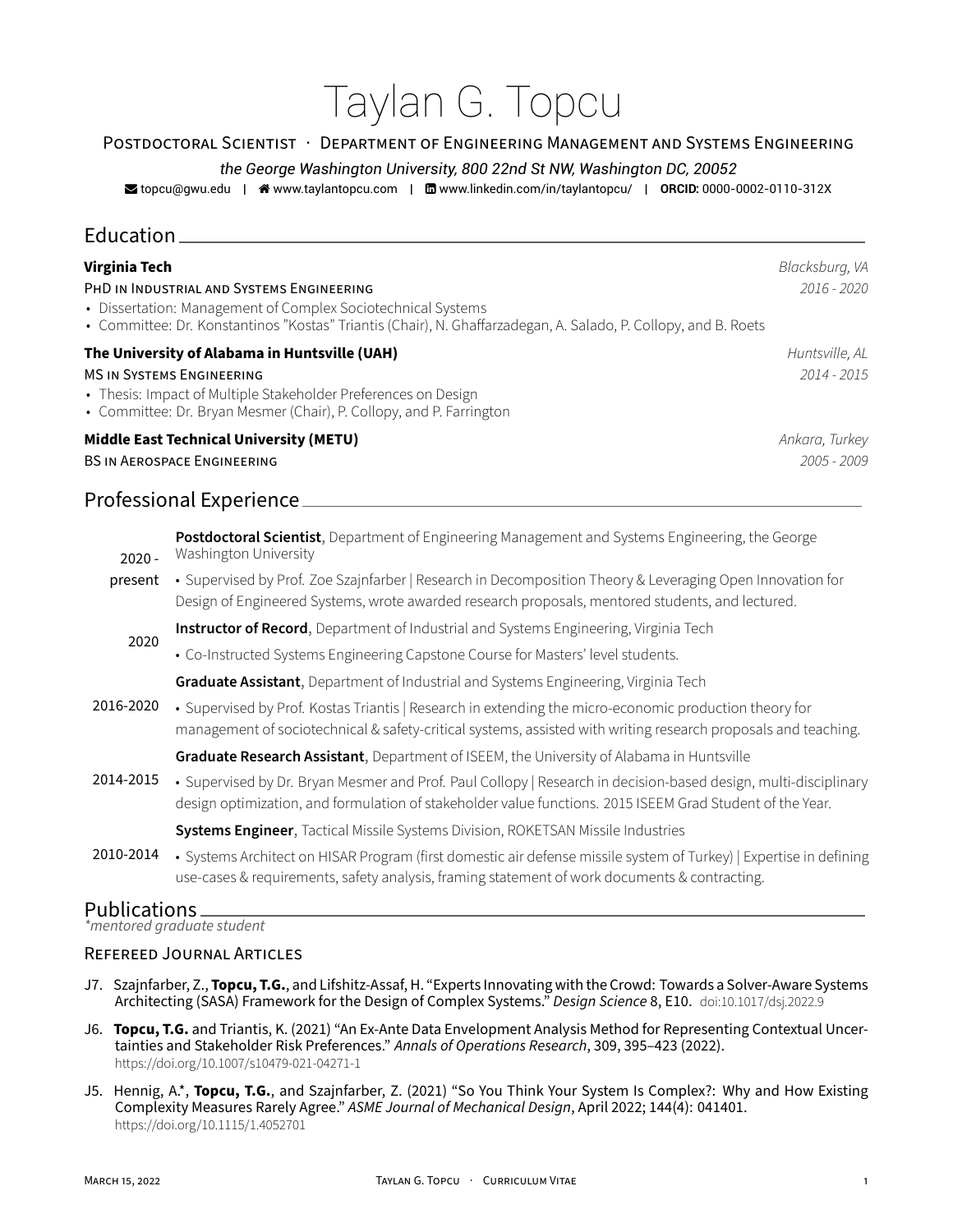# Taylan G. Topcu

#### POSTDOCTORAL SCiENTiST · DEPARTMENT OF ENGiNEERiNG MANAGEMENT AND SYSTEMS ENGiNEERiNG

#### *the George Washington University, 800 22nd St NW, Washington DC, 20052*

**z** topcu@gwu.edu | �� www.taylantopcu.com | moww.linkedin.com/in/taylantopcu/ | **ORCID:** 0000-0002-0110-312X

## Education

| <b>Virginia Tech</b>                                                                                                                                                            | Blacksburg, VA |
|---------------------------------------------------------------------------------------------------------------------------------------------------------------------------------|----------------|
| PHD IN INDUSTRIAL AND SYSTEMS ENGINEERING                                                                                                                                       | $2016 - 2020$  |
| • Dissertation: Management of Complex Sociotechnical Systems<br>• Committee: Dr. Konstantinos "Kostas" Triantis (Chair), N. Ghaffarzadegan, A. Salado, P. Collopy, and B. Roets |                |
| The University of Alabama in Huntsville (UAH)                                                                                                                                   | Huntsville, AL |
| <b>MS IN SYSTEMS ENGINEERING</b>                                                                                                                                                | $2014 - 2015$  |
| • Thesis: Impact of Multiple Stakeholder Preferences on Design<br>• Committee: Dr. Bryan Mesmer (Chair), P. Collopy, and P. Farrington                                          |                |
| <b>Middle East Technical University (METU)</b>                                                                                                                                  | Ankara, Turkey |
| <b>BS IN AEROSPACE ENGINEERING</b>                                                                                                                                              | $2005 - 2009$  |

## Professional Experience

 $2020$ present • Supervised by Prof. Zoe Szajnfarber | Research in Decomposition Theory & Leveraging Open Innovation for **Postdoctoral Scientist**, Department of Engineering Management and Systems Engineering, the George Washington University Design of Engineered Systems, wrote awarded research proposals, mentored students, and lectured. 2020 **Instructor of Record**, Department of Industrial and Systems Engineering, Virginia Tech • Co-Instructed Systems Engineering Capstone Course for Masters' level students. 2016‑2020 **Graduate Assistant**, Department of Industrial and Systems Engineering, Virginia Tech • Supervised by Prof. Kostas Triantis | Research in extending the micro-economic production theory for management of sociotechnical & safety-critical systems, assisted with writing research proposals and teaching. 2014‑2015 **Graduate Research Assistant**, Department of ISEEM, the University of Alabama in Huntsville • Supervised by Dr. Bryan Mesmer and Prof. Paul Collopy | Research in decision-based design, multi-disciplinary design optimization, and formulation of stakeholder value functions. 2015 ISEEM Grad Student of the Year. 2010‑2014 **Systems Engineer**, Tactical Missile Systems Division, ROKETSAN Missile Industries

• Systems Architect on HISAR Program (first domestic air defense missile system of Turkey) | Expertise in defining use-cases & requirements, safety analysis, framing statement of work documents & contracting.

## Publications

*\*mentored graduate student*

#### REFEREED JOURNAL ARTiCLES

- J7. Szajnfarber, Z., Topcu, T.G., and Lifshitz-Assaf, H. "Experts Innovating with the Crowd: Towards a Solver-Aware Systems Architecting (SASA) Framework for the Design of Complex Systems." *Design Science* 8, E10. doi:10.1017/dsj.2022.9
- J6. **Topcu, T.G.** and Triantis, K. (2021) "An Ex‑Ante Data Envelopment Analysis Method for Representing Contextual Uncer‑ tainties and Stakeholder Risk Preferences." *Annals of Operations Research*, 309, 395–423 (2022). https://doi.org/10.1007/s10479‑021‑04271‑1
- J5. Hennig, A.\*, **Topcu, T.G.**, and Szajnfarber, Z. (2021) "So You Think Your System Is Complex?: Why and How Existing Complexity Measures Rarely Agree." *ASME Journal of Mechanical Design*, April 2022; 144(4): 041401. https://doi.org/10.1115/1.4052701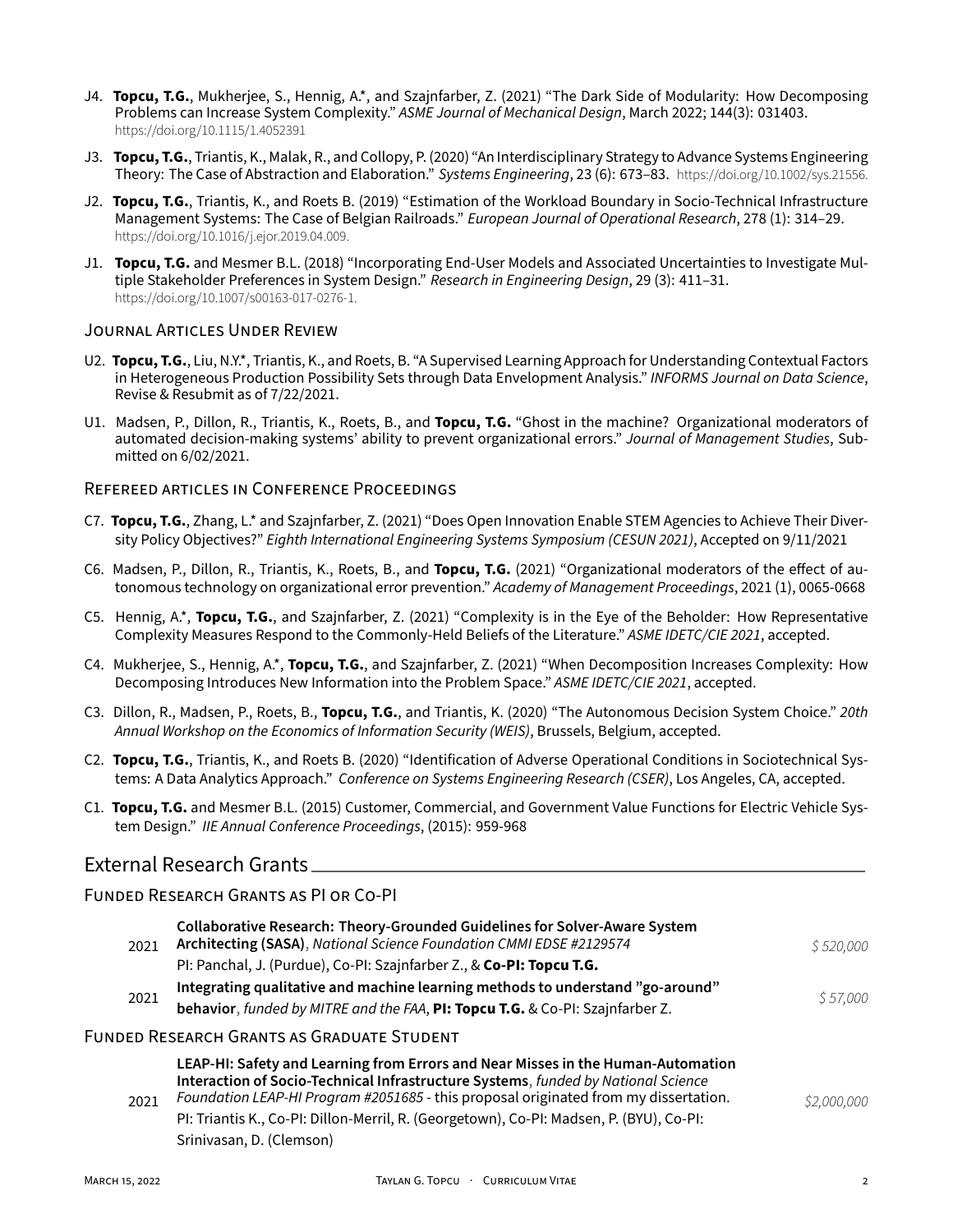- J4. **Topcu, T.G.**, Mukherjee, S., Hennig, A.\*, and Szajnfarber, Z. (2021) "The Dark Side of Modularity: How Decomposing Problems can Increase System Complexity." *ASME Journal of Mechanical Design*, March 2022; 144(3): 031403. https://doi.org/10.1115/1.4052391
- J3. **Topcu, T.G.**, Triantis, K., Malak, R., and Collopy, P. (2020) "An Interdisciplinary Strategy to Advance Systems Engineering Theory: The Case of Abstraction and Elaboration." *Systems Engineering*, 23 (6): 673–83. https://doi.org/10.1002/sys.21556.
- J2. **Topcu, T.G.**, Triantis, K., and Roets B. (2019) "Estimation of the Workload Boundary in Socio‑Technical Infrastructure Management Systems: The Case of Belgian Railroads." *European Journal of Operational Research*, 278 (1): 314–29. https://doi.org/10.1016/j.ejor.2019.04.009.
- J1. **Topcu, T.G.** and Mesmer B.L. (2018) "Incorporating End-User Models and Associated Uncertainties to Investigate Multiple Stakeholder Preferences in System Design." *Research in Engineering Design*, 29 (3): 411–31. https://doi.org/10.1007/s00163‑017‑0276‑1.

#### JOURNAL ARTiCLES UNDER REViEW

- U2. **Topcu, T.G.**, Liu, N.Y.\*, Triantis, K., and Roets, B. "A Supervised Learning Approach for Understanding Contextual Factors in Heterogeneous Production Possibility Sets through Data Envelopment Analysis." *INFORMS Journal on Data Science*, Revise & Resubmit as of 7/22/2021.
- U1. Madsen, P., Dillon, R., Triantis, K., Roets, B., and **Topcu, T.G.** "Ghost in the machine? Organizational moderators of automated decision-making systems' ability to prevent organizational errors." *Journal of Management Studies*, Submitted on 6/02/2021.

#### REFEREED ARTiCLES iN CONFERENCE PROCEEDiNGS

- C7. **Topcu, T.G.**, Zhang, L.\* and Szajnfarber, Z. (2021) "Does Open Innovation Enable STEM Agencies to Achieve Their Diver‑ sity Policy Objectives?" *Eighth International Engineering Systems Symposium (CESUN 2021)*, Accepted on 9/11/2021
- C6. Madsen, P., Dillon, R., Triantis, K., Roets, B., and **Topcu, T.G.** (2021) "Organizational moderators of the effect of au‑ tonomous technology on organizational error prevention." *Academy of Management Proceedings*, 2021 (1), 0065‑0668
- C5. Hennig, A.\*, **Topcu, T.G.**, and Szajnfarber, Z. (2021) "Complexity is in the Eye of the Beholder: How Representative Complexity Measures Respond to the Commonly‑Held Beliefs of the Literature." *ASME IDETC/CIE 2021*, accepted.
- C4. Mukherjee, S., Hennig, A.\*, **Topcu, T.G.**, and Szajnfarber, Z. (2021) "When Decomposition Increases Complexity: How Decomposing Introduces New Information into the Problem Space." *ASME IDETC/CIE 2021*, accepted.
- C3. Dillon, R., Madsen, P., Roets, B., **Topcu, T.G.**, and Triantis, K. (2020) "The Autonomous Decision System Choice." *20th Annual Workshop on the Economics of Information Security (WEIS)*, Brussels, Belgium, accepted.
- C2. **Topcu, T.G.**, Triantis, K., and Roets B. (2020) "Identification of Adverse Operational Conditions in Sociotechnical Sys‑ tems: A Data Analytics Approach." *Conference on Systems Engineering Research (CSER)*, Los Angeles, CA, accepted.
- C1. **Topcu, T.G.** and Mesmer B.L. (2015) Customer, Commercial, and Government Value Functions for Electric Vehicle Sys‑ tem Design." *IIE Annual Conference Proceedings*, (2015): 959‑968

## External Research Grants

#### FUNDED RESEARCH GRANTS AS PI OR CO‑PI

| 2021 | Collaborative Research: Theory-Grounded Guidelines for Solver-Aware System<br>Architecting (SASA), National Science Foundation CMMI EDSE #2129574<br>PI: Panchal, J. (Purdue), Co-PI: Szajnfarber Z., & Co-PI: Topcu T.G.                                                                                                                                                            | \$520,000   |
|------|--------------------------------------------------------------------------------------------------------------------------------------------------------------------------------------------------------------------------------------------------------------------------------------------------------------------------------------------------------------------------------------|-------------|
| 2021 | Integrating qualitative and machine learning methods to understand "go-around"<br>behavior, funded by MITRE and the FAA, PI: Topcu T.G. & Co-PI: Szajnfarber Z.                                                                                                                                                                                                                      | \$57,000    |
|      | FUNDED RESEARCH GRANTS AS GRADUATE STUDENT                                                                                                                                                                                                                                                                                                                                           |             |
| 2021 | LEAP-HI: Safety and Learning from Errors and Near Misses in the Human-Automation<br>Interaction of Socio-Technical Infrastructure Systems, funded by National Science<br>Foundation LEAP-HI Program #2051685 - this proposal originated from my dissertation.<br>PI: Triantis K., Co-PI: Dillon-Merril, R. (Georgetown), Co-PI: Madsen, P. (BYU), Co-PI:<br>Srinivasan, D. (Clemson) | \$2,000,000 |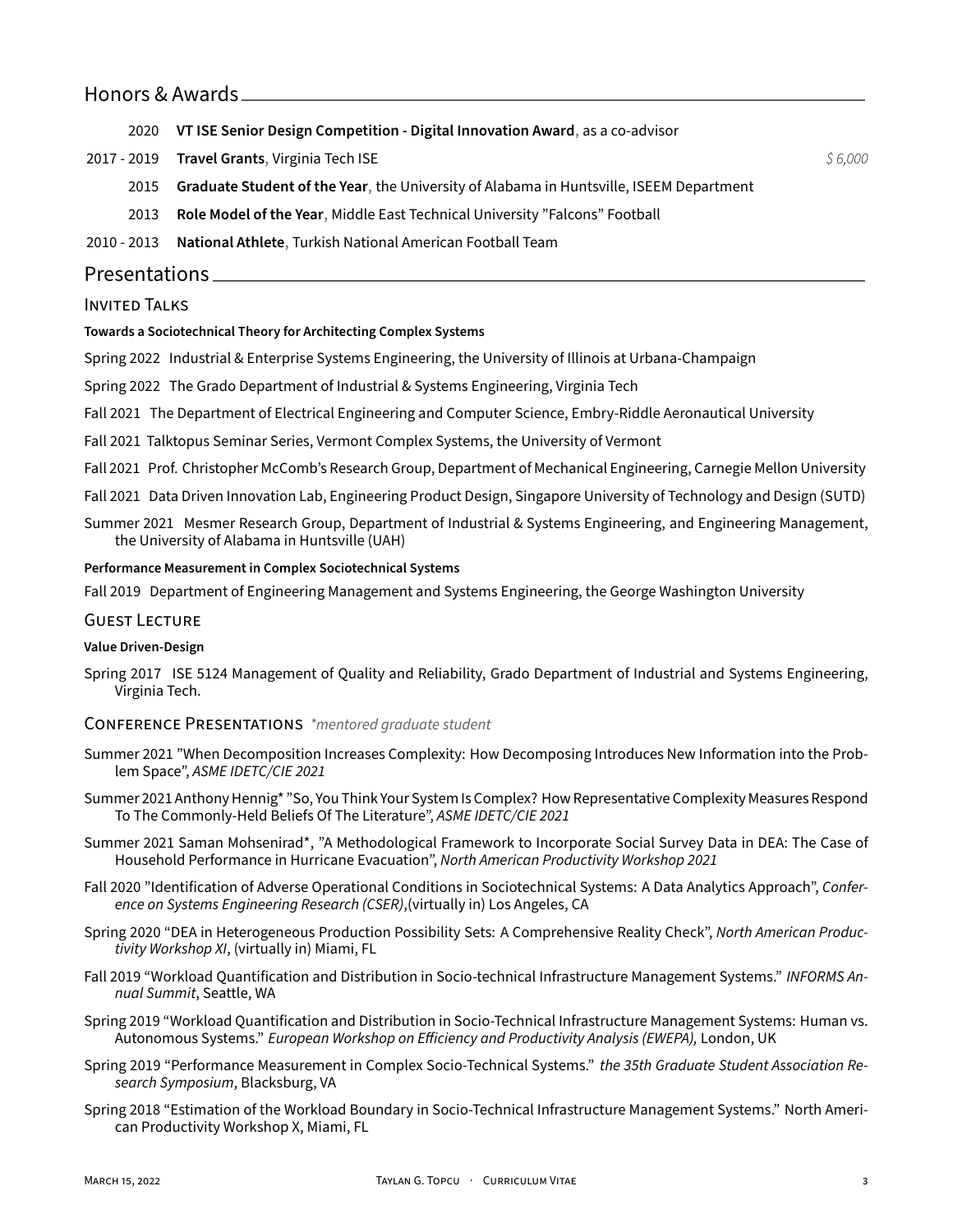## Honors & Awards

2020 **VT ISE Senior Design Competition ‑ Digital Innovation Award**, as a co‑advisor

2017 ‑ 2019 **Travel Grants**, Virginia Tech ISE *\$ 6,000*

2015 **Graduate Student of the Year**, the University of Alabama in Huntsville, ISEEM Department

2013 **Role Model of the Year**, Middle East Technical University "Falcons" Football

2010 ‑ 2013 **National Athlete**, Turkish National American Football Team

## Presentations

#### INVITED TALKS

#### **Towards a Sociotechnical Theory for Architecting Complex Systems**

Spring 2022 Industrial & Enterprise Systems Engineering, the University of Illinois at Urbana‑Champaign

Spring 2022 The Grado Department of Industrial & Systems Engineering, Virginia Tech

- Fall 2021 The Department of Electrical Engineering and Computer Science, Embry‑Riddle Aeronautical University
- Fall 2021 Talktopus Seminar Series, Vermont Complex Systems, the University of Vermont
- Fall 2021 Prof. Christopher McComb's Research Group, Department of Mechanical Engineering, Carnegie Mellon University
- Fall 2021 Data Driven Innovation Lab, Engineering Product Design, Singapore University of Technology and Design (SUTD)
- Summer 2021 Mesmer Research Group, Department of Industrial & Systems Engineering, and Engineering Management, the University of Alabama in Huntsville (UAH)

#### **Performance Measurement in Complex Sociotechnical Systems**

Fall 2019 Department of Engineering Management and Systems Engineering, the George Washington University

#### GUEST LECTURE

#### **Value Driven‑Design**

Spring 2017 ISE 5124 Management of Quality and Reliability, Grado Department of Industrial and Systems Engineering, Virginia Tech.

#### CONFERENCE PRESENTATiONS *\*mentored graduate student*

- Summer 2021 "When Decomposition Increases Complexity: How Decomposing Introduces New Information into the Prob‑ lem Space", *ASME IDETC/CIE 2021*
- Summer 2021 Anthony Hennig\* "So, You Think Your System Is Complex? How Representative Complexity Measures Respond To The Commonly‑Held Beliefs Of The Literature", *ASME IDETC/CIE 2021*
- Summer 2021 Saman Mohsenirad\*, "A Methodological Framework to Incorporate Social Survey Data in DEA: The Case of Household Performance in Hurricane Evacuation", *North American Productivity Workshop 2021*
- Fall 2020 "Identification of Adverse Operational Conditions in Sociotechnical Systems: A Data Analytics Approach", *Confer‑ ence on Systems Engineering Research (CSER)*,(virtually in) Los Angeles, CA
- Spring 2020 "DEA in Heterogeneous Production Possibility Sets: A Comprehensive Reality Check", *North American Produc‑ tivity Workshop XI*, (virtually in) Miami, FL
- Fall 2019 "Workload Quantification and Distribution in Socio‑technical Infrastructure Management Systems." *INFORMS An‑ nual Summit*, Seattle, WA
- Spring 2019 "Workload Quantification and Distribution in Socio‑Technical Infrastructure Management Systems: Human vs. Autonomous Systems." *European Workshop on Efficiency and Productivity Analysis (EWEPA),* London, UK
- Spring 2019 "Performance Measurement in Complex Socio‑Technical Systems." *the 35th Graduate Student Association Re‑ search Symposium*, Blacksburg, VA
- Spring 2018 "Estimation of the Workload Boundary in Socio-Technical Infrastructure Management Systems." North American Productivity Workshop X, Miami, FL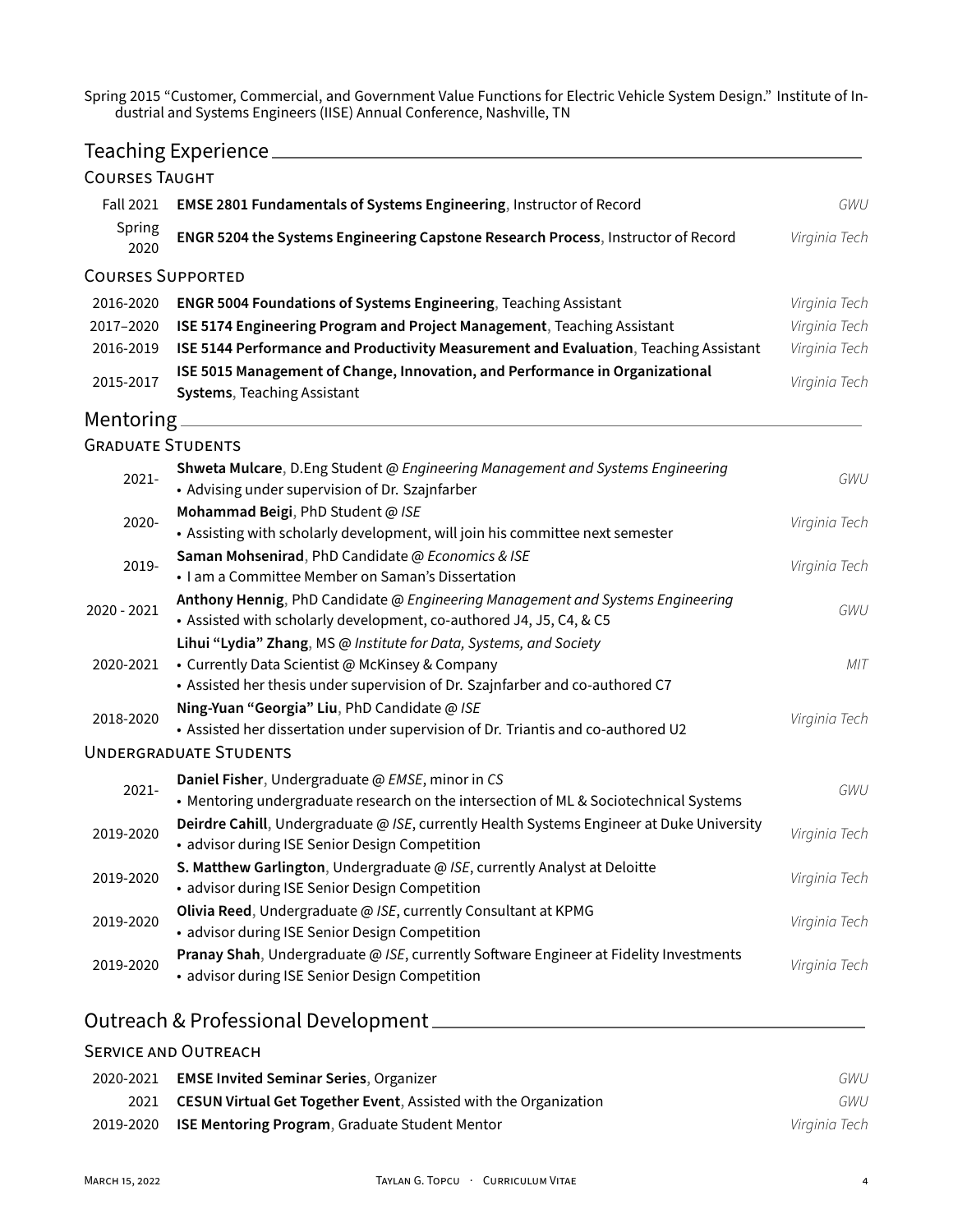Spring 2015 "Customer, Commercial, and Government Value Functions for Electric Vehicle System Design." Institute of Industrial and Systems Engineers (IISE) Annual Conference, Nashville, TN

## Teaching Experience **Experience Experience Experience EXPERIENCE**

| <b>COURSES TAUGHT</b>    |                                                                                                                                                                                                        |               |
|--------------------------|--------------------------------------------------------------------------------------------------------------------------------------------------------------------------------------------------------|---------------|
| <b>Fall 2021</b>         | EMSE 2801 Fundamentals of Systems Engineering, Instructor of Record                                                                                                                                    | GWU           |
| Spring<br>2020           | ENGR 5204 the Systems Engineering Capstone Research Process, Instructor of Record                                                                                                                      | Virginia Tech |
| <b>COURSES SUPPORTED</b> |                                                                                                                                                                                                        |               |
| 2016-2020                | <b>ENGR 5004 Foundations of Systems Engineering, Teaching Assistant</b>                                                                                                                                | Virginia Tech |
| 2017-2020                | ISE 5174 Engineering Program and Project Management, Teaching Assistant                                                                                                                                | Virginia Tech |
| 2016-2019                | ISE 5144 Performance and Productivity Measurement and Evaluation, Teaching Assistant                                                                                                                   | Virginia Tech |
| 2015-2017                | ISE 5015 Management of Change, Innovation, and Performance in Organizational<br><b>Systems, Teaching Assistant</b>                                                                                     | Virginia Tech |
|                          | Mentoring ________________                                                                                                                                                                             |               |
| <b>GRADUATE STUDENTS</b> |                                                                                                                                                                                                        |               |
| 2021-                    | Shweta Mulcare, D.Eng Student @ Engineering Management and Systems Engineering<br>• Advising under supervision of Dr. Szajnfarber                                                                      | GWU           |
| 2020-                    | Mohammad Beigi, PhD Student @ ISE<br>• Assisting with scholarly development, will join his committee next semester                                                                                     | Virginia Tech |
| 2019-                    | Saman Mohsenirad, PhD Candidate @ Economics & ISE<br>• I am a Committee Member on Saman's Dissertation                                                                                                 | Virginia Tech |
| 2020 - 2021              | Anthony Hennig, PhD Candidate @ Engineering Management and Systems Engineering<br>. Assisted with scholarly development, co-authored J4, J5, C4, & C5                                                  | GWU           |
| 2020-2021                | Lihui "Lydia" Zhang, MS @ Institute for Data, Systems, and Society<br>• Currently Data Scientist @ McKinsey & Company<br>• Assisted her thesis under supervision of Dr. Szajnfarber and co-authored C7 | MIT           |
| 2018-2020                | Ning-Yuan "Georgia" Liu, PhD Candidate @ ISE<br>• Assisted her dissertation under supervision of Dr. Triantis and co-authored U2                                                                       | Virginia Tech |
|                          | <b>UNDERGRADUATE STUDENTS</b>                                                                                                                                                                          |               |
| 2021-                    | Daniel Fisher, Undergraduate @ EMSE, minor in CS<br>• Mentoring undergraduate research on the intersection of ML & Sociotechnical Systems                                                              | GWU           |
| 2019-2020                | Deirdre Cahill, Undergraduate @ ISE, currently Health Systems Engineer at Duke University<br>• advisor during ISE Senior Design Competition                                                            | Virginia Tech |
| 2019-2020                | S. Matthew Garlington, Undergraduate @ ISE, currently Analyst at Deloitte<br>• advisor during ISE Senior Design Competition                                                                            | Virginia Tech |
| 2019-2020                | Olivia Reed, Undergraduate @ ISE, currently Consultant at KPMG<br>• advisor during ISE Senior Design Competition                                                                                       | Virginia Tech |
| 2019-2020                | Pranay Shah, Undergraduate @ ISE, currently Software Engineer at Fidelity Investments<br>• advisor during ISE Senior Design Competition                                                                | Virginia Tech |
|                          |                                                                                                                                                                                                        |               |

## Outreach & Professional Development

## SERViCE AND OUTREACH 2020‑2021 **EMSE Invited Seminar Series**, Organizer *GWU* 2021 **CESUN Virtual Get Together Event**, Assisted with the Organization *GWU* 2019‑2020 **ISE Mentoring Program**, Graduate Student Mentor *Virginia Tech*